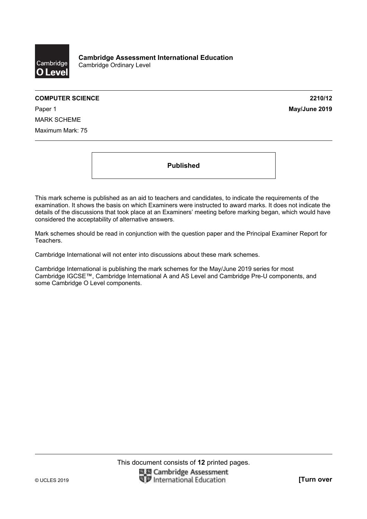

#### **COMPUTER SCIENCE 2210/12**

Paper 1 **May/June 2019** MARK SCHEME Maximum Mark: 75

**Published** 

This mark scheme is published as an aid to teachers and candidates, to indicate the requirements of the examination. It shows the basis on which Examiners were instructed to award marks. It does not indicate the details of the discussions that took place at an Examiners' meeting before marking began, which would have considered the acceptability of alternative answers.

Mark schemes should be read in conjunction with the question paper and the Principal Examiner Report for Teachers.

Cambridge International will not enter into discussions about these mark schemes.

Cambridge International is publishing the mark schemes for the May/June 2019 series for most Cambridge IGCSE™, Cambridge International A and AS Level and Cambridge Pre-U components, and some Cambridge O Level components.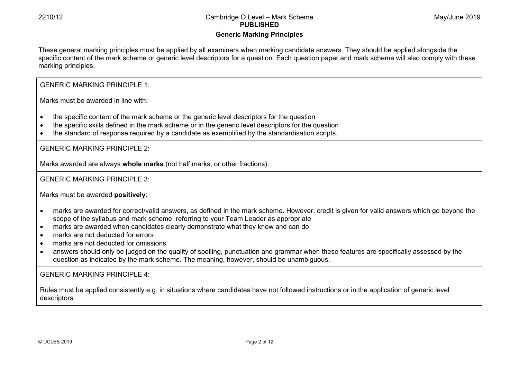# **Generic Marking Principles**

These general marking principles must be applied by all examiners when marking candidate answers. They should be applied alongside the specific content of the mark scheme or generic level descriptors for a question. Each question paper and mark scheme will also comply with these marking principles.

GENERIC MARKING PRINCIPLE 1:

Marks must be awarded in line with:

- the specific content of the mark scheme or the generic level descriptors for the question
- the specific skills defined in the mark scheme or in the generic level descriptors for the question
- the standard of response required by a candidate as exemplified by the standardisation scripts.

GENERIC MARKING PRINCIPLE 2:

Marks awarded are always **whole marks** (not half marks, or other fractions).

GENERIC MARKING PRINCIPLE 3:

Marks must be awarded **positively**:

- marks are awarded for correct/valid answers, as defined in the mark scheme. However, credit is given for valid answers which go beyond the scope of the syllabus and mark scheme, referring to your Team Leader as appropriate
- marks are awarded when candidates clearly demonstrate what they know and can do
- marks are not deducted for errors
- marks are not deducted for omissions
- answers should only be judged on the quality of spelling, punctuation and grammar when these features are specifically assessed by the question as indicated by the mark scheme. The meaning, however, should be unambiguous.

GENERIC MARKING PRINCIPLE 4:

Rules must be applied consistently e.g. in situations where candidates have not followed instructions or in the application of generic level descriptors.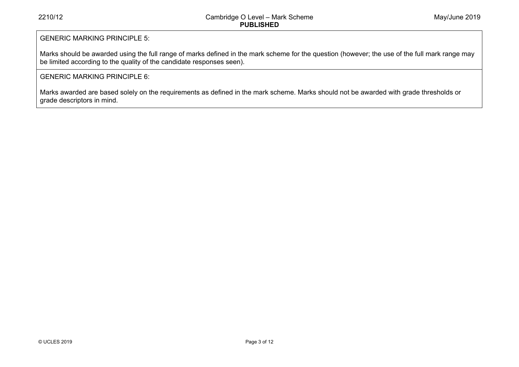# GENERIC MARKING PRINCIPLE 5:

Marks should be awarded using the full range of marks defined in the mark scheme for the question (however; the use of the full mark range may be limited according to the quality of the candidate responses seen).

# GENERIC MARKING PRINCIPLE 6:

Marks awarded are based solely on the requirements as defined in the mark scheme. Marks should not be awarded with grade thresholds or grade descriptors in mind.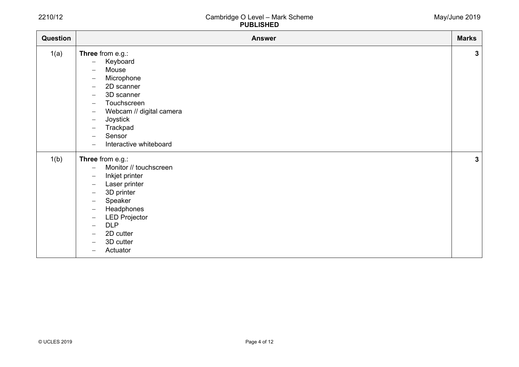| May/June 2019 |  |
|---------------|--|
|---------------|--|

| Question | <b>Answer</b>                                                                                                                                                                                                                                                                                                                                                                                                                                                                                          | <b>Marks</b> |
|----------|--------------------------------------------------------------------------------------------------------------------------------------------------------------------------------------------------------------------------------------------------------------------------------------------------------------------------------------------------------------------------------------------------------------------------------------------------------------------------------------------------------|--------------|
| 1(a)     | Three from e.g.:<br>Keyboard<br>$\qquad \qquad -$<br>Mouse<br>$\overline{\phantom{m}}$<br>Microphone<br>$\overline{\phantom{m}}$<br>2D scanner<br>$\overline{\phantom{m}}$<br>3D scanner<br>$\overline{\phantom{m}}$<br>Touchscreen<br>$\overline{\phantom{m}}$<br>Webcam // digital camera<br>$\overline{\phantom{m}}$<br>Joystick<br>$\overline{\phantom{m}}$<br>Trackpad<br>$\overline{\phantom{0}}$<br>Sensor<br>$\overline{\phantom{m}}$<br>Interactive whiteboard<br>$\overline{\phantom{0}}$    | $\mathbf{3}$ |
| 1(b)     | Three from e.g.:<br>Monitor // touchscreen<br>$\overline{\phantom{m}}$<br>Inkjet printer<br>$\qquad \qquad -$<br>Laser printer<br>$\overline{\phantom{m}}$<br>3D printer<br>$\overline{\phantom{m}}$<br>Speaker<br>$\overline{\phantom{m}}$<br>Headphones<br>$\qquad \qquad -$<br><b>LED Projector</b><br>$\overline{\phantom{m}}$<br><b>DLP</b><br>$\overline{\phantom{0}}$<br>2D cutter<br>$\overline{\phantom{m}}$<br>3D cutter<br>$\overline{\phantom{0}}$<br>Actuator<br>$\overline{\phantom{0}}$ | $\mathbf{3}$ |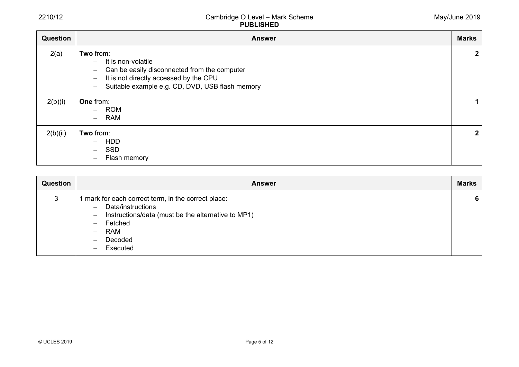| Question | <b>Answer</b>                                                                                                                                                                                                                                                           | <b>Marks</b>   |
|----------|-------------------------------------------------------------------------------------------------------------------------------------------------------------------------------------------------------------------------------------------------------------------------|----------------|
| 2(a)     | Two from:<br>It is non-volatile<br>$-$<br>Can be easily disconnected from the computer<br>$\overline{\phantom{m}}$<br>It is not directly accessed by the CPU<br>$\overline{\phantom{0}}$<br>Suitable example e.g. CD, DVD, USB flash memory<br>$\overline{\phantom{m}}$ | $\overline{2}$ |
| 2(b)(i)  | One from:<br>- ROM<br>RAM<br>$-$                                                                                                                                                                                                                                        | $\mathbf 1$    |
| 2(b)(ii) | Two from:<br><b>HDD</b><br>$-$<br><b>SSD</b><br>$-$<br>Flash memory<br>$\overline{\phantom{0}}$                                                                                                                                                                         | $\mathbf{2}$   |

| <b>Question</b> | <b>Answer</b>                                                                                                                                                                                                                                                    | <b>Marks</b> |
|-----------------|------------------------------------------------------------------------------------------------------------------------------------------------------------------------------------------------------------------------------------------------------------------|--------------|
| 3               | mark for each correct term, in the correct place:<br>Data/instructions<br>$\overline{\phantom{m}}$<br>Instructions/data (must be the alternative to MP1)<br>$\overline{\phantom{m}}$<br>Fetched<br><b>RAM</b><br>Decoded<br>$\overline{\phantom{0}}$<br>Executed | 6            |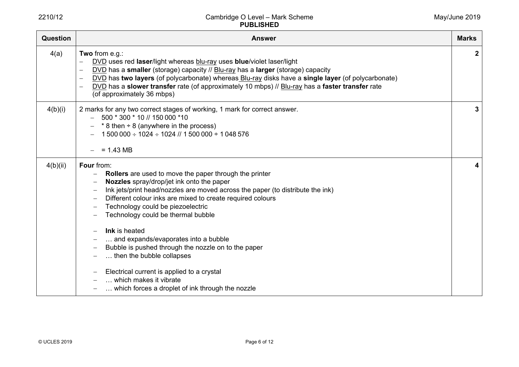| Question | <b>Answer</b>                                                                                                                                                                                                                                                                                                                                                                                                                                                                                                                                                                                                         | <b>Marks</b> |
|----------|-----------------------------------------------------------------------------------------------------------------------------------------------------------------------------------------------------------------------------------------------------------------------------------------------------------------------------------------------------------------------------------------------------------------------------------------------------------------------------------------------------------------------------------------------------------------------------------------------------------------------|--------------|
| 4(a)     | Two from e.g.:<br>DVD uses red laser/light whereas blu-ray uses blue/violet laser/light<br>DVD has a smaller (storage) capacity // Blu-ray has a larger (storage) capacity<br>$\overline{\phantom{m}}$<br>DVD has two layers (of polycarbonate) whereas Blu-ray disks have a single layer (of polycarbonate)<br>DVD has a slower transfer rate (of approximately 10 mbps) // Blu-ray has a faster transfer rate<br>$\overline{\phantom{0}}$<br>(of approximately 36 mbps)                                                                                                                                             | $\mathbf{2}$ |
| 4(b)(i)  | 2 marks for any two correct stages of working, 1 mark for correct answer.<br>500 * 300 * 10 // 150 000 *10<br>$*$ 8 then $\div$ 8 (anywhere in the process)<br>$1500000 \div 1024 \div 1024$ // $1500000 \div 1048576$<br>$= 1.43 \text{ MB}$                                                                                                                                                                                                                                                                                                                                                                         | 3.           |
| 4(b)(ii) | Four from:<br>Rollers are used to move the paper through the printer<br>Nozzles spray/drop/jet ink onto the paper<br>Ink jets/print head/nozzles are moved across the paper (to distribute the ink)<br>Different colour inks are mixed to create required colours<br>Technology could be piezoelectric<br>Technology could be thermal bubble<br>Ink is heated<br>and expands/evaporates into a bubble<br>Bubble is pushed through the nozzle on to the paper<br>then the bubble collapses<br>Electrical current is applied to a crystal<br>which makes it vibrate<br>which forces a droplet of ink through the nozzle |              |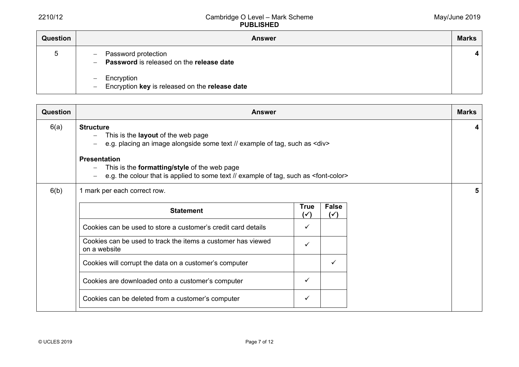| <b>Question</b> | <b>Answer</b>                                                                                                        | <b>Marks</b> |
|-----------------|----------------------------------------------------------------------------------------------------------------------|--------------|
| $\mathbf b$     | Password protection<br>$\overline{\phantom{m}}$<br>Password is released on the release date<br>$\qquad \qquad -$     |              |
|                 | Encryption<br>$\overline{\phantom{0}}$<br>Encryption key is released on the release date<br>$\overline{\phantom{0}}$ |              |

| <b>Question</b> | <b>Answer</b>                                                                                                                                                                                                                                                                                                                           |   |  |  | <b>Marks</b> |  |  |  |  |  |
|-----------------|-----------------------------------------------------------------------------------------------------------------------------------------------------------------------------------------------------------------------------------------------------------------------------------------------------------------------------------------|---|--|--|--------------|--|--|--|--|--|
| 6(a)            | <b>Structure</b><br>This is the <b>layout</b> of the web page<br>e.g. placing an image alongside some text // example of tag, such as <div><br/><b>Presentation</b><br/>This is the <b>formatting/style</b> of the web page<br/>e.g. the colour that is applied to some text // example of tag, such as <font-color></font-color></div> |   |  |  |              |  |  |  |  |  |
| 6(b)            | 1 mark per each correct row.                                                                                                                                                                                                                                                                                                            |   |  |  |              |  |  |  |  |  |
|                 | <b>Statement</b>                                                                                                                                                                                                                                                                                                                        |   |  |  |              |  |  |  |  |  |
|                 | Cookies can be used to store a customer's credit card details                                                                                                                                                                                                                                                                           |   |  |  |              |  |  |  |  |  |
|                 | Cookies can be used to track the items a customer has viewed<br>on a website                                                                                                                                                                                                                                                            | ✓ |  |  |              |  |  |  |  |  |
|                 | Cookies will corrupt the data on a customer's computer                                                                                                                                                                                                                                                                                  |   |  |  |              |  |  |  |  |  |
|                 | Cookies are downloaded onto a customer's computer                                                                                                                                                                                                                                                                                       | ✓ |  |  |              |  |  |  |  |  |
|                 | Cookies can be deleted from a customer's computer                                                                                                                                                                                                                                                                                       | ✓ |  |  |              |  |  |  |  |  |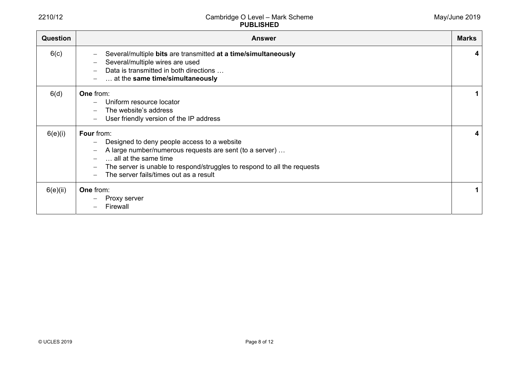| <b>Question</b> | <b>Answer</b>                                                                                                                                                                                                                                                             | <b>Marks</b> |
|-----------------|---------------------------------------------------------------------------------------------------------------------------------------------------------------------------------------------------------------------------------------------------------------------------|--------------|
| 6(c)            | Several/multiple bits are transmitted at a time/simultaneously<br>Several/multiple wires are used<br>Data is transmitted in both directions<br>at the same time/simultaneously                                                                                            | 4            |
| 6(d)            | One from:<br>Uniform resource locator<br>The website's address<br>User friendly version of the IP address                                                                                                                                                                 |              |
| 6(e)(i)         | <b>Four from:</b><br>Designed to deny people access to a website<br>A large number/numerous requests are sent (to a server)<br>all at the same time<br>The server is unable to respond/struggles to respond to all the requests<br>The server fails/times out as a result | 4            |
| 6(e)(ii)        | One from:<br>Proxy server<br>Firewall                                                                                                                                                                                                                                     |              |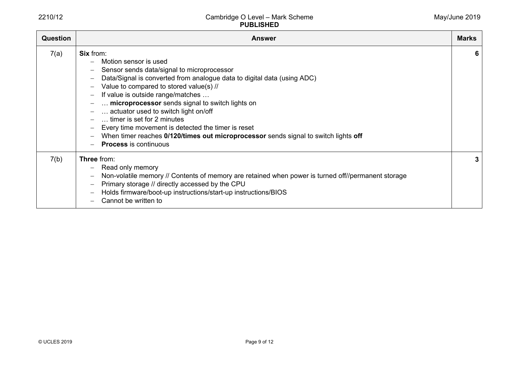| <b>Question</b> | <b>Answer</b>                                                                                                                                                                                                                                                                                                                                                                                                                                                                                                                                            | <b>Marks</b> |
|-----------------|----------------------------------------------------------------------------------------------------------------------------------------------------------------------------------------------------------------------------------------------------------------------------------------------------------------------------------------------------------------------------------------------------------------------------------------------------------------------------------------------------------------------------------------------------------|--------------|
| 7(a)            | <b>Six from:</b><br>Motion sensor is used<br>Sensor sends data/signal to microprocessor<br>Data/Signal is converted from analogue data to digital data (using ADC)<br>Value to compared to stored value(s) //<br>If value is outside range/matches<br>microprocessor sends signal to switch lights on<br>actuator used to switch light on/off<br>timer is set for 2 minutes<br>Every time movement is detected the timer is reset<br>When timer reaches 0/120/times out microprocessor sends signal to switch lights off<br><b>Process is continuous</b> | 6            |
| 7(b)            | Three from:<br>Read only memory<br>Non-volatile memory // Contents of memory are retained when power is turned off//permanent storage<br>$\overline{\phantom{m}}$<br>Primary storage // directly accessed by the CPU<br>Holds firmware/boot-up instructions/start-up instructions/BIOS<br>Cannot be written to                                                                                                                                                                                                                                           | 3            |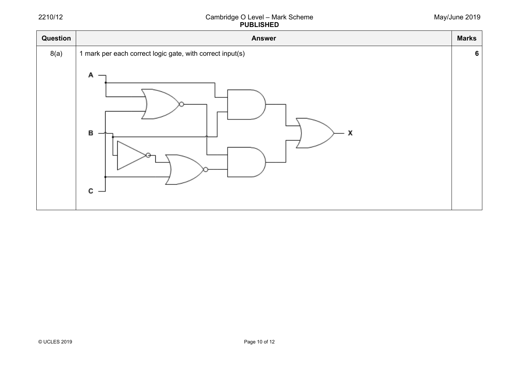| Question | <b>Answer</b>                                                                 | <b>Marks</b>    |
|----------|-------------------------------------------------------------------------------|-----------------|
| 8(a)     | 1 mark per each correct logic gate, with correct input(s)<br>Α<br>в<br>х<br>C | $6\phantom{1}6$ |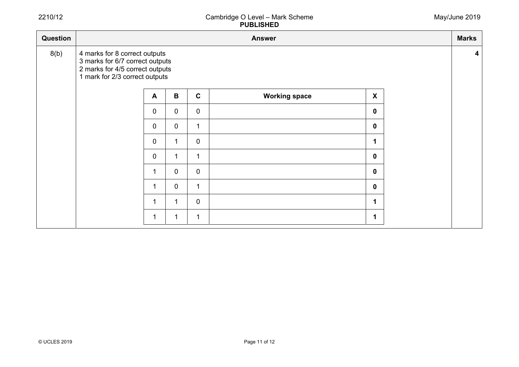| Question | <b>Answer</b>                                                                                                                         |                |             |              |                      |                  |  |  |  |  |  |  |
|----------|---------------------------------------------------------------------------------------------------------------------------------------|----------------|-------------|--------------|----------------------|------------------|--|--|--|--|--|--|
| 8(b)     | 4 marks for 8 correct outputs<br>3 marks for 6/7 correct outputs<br>2 marks for 4/5 correct outputs<br>1 mark for 2/3 correct outputs |                |             |              |                      |                  |  |  |  |  |  |  |
|          |                                                                                                                                       | $\mathbf{A}$   | $\mathbf B$ | $\mathbf{C}$ | <b>Working space</b> | $\boldsymbol{X}$ |  |  |  |  |  |  |
|          |                                                                                                                                       | $\overline{0}$ | $\mathbf 0$ | $\mathbf 0$  |                      | $\mathbf 0$      |  |  |  |  |  |  |
|          |                                                                                                                                       | $\mathbf 0$    | $\mathbf 0$ | 1            |                      | $\mathbf 0$      |  |  |  |  |  |  |
|          |                                                                                                                                       | 0              | 1           | $\mathbf 0$  |                      | 1                |  |  |  |  |  |  |
|          |                                                                                                                                       | $\overline{0}$ | 1           | 1            |                      | $\mathbf 0$      |  |  |  |  |  |  |
|          |                                                                                                                                       | 1              | $\mathbf 0$ | $\mathbf 0$  |                      | $\mathbf 0$      |  |  |  |  |  |  |
|          |                                                                                                                                       | 1              | $\mathbf 0$ |              |                      | $\mathbf 0$      |  |  |  |  |  |  |
|          |                                                                                                                                       | -1             | 1           | $\mathbf 0$  |                      | 1                |  |  |  |  |  |  |
|          |                                                                                                                                       | -1             | 1           | 1            |                      | 1                |  |  |  |  |  |  |